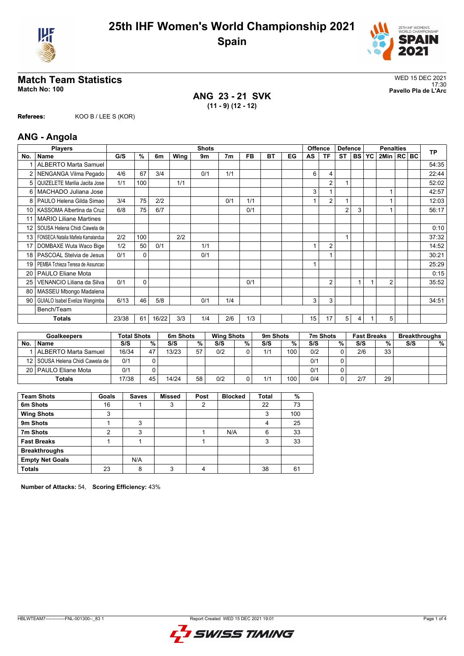



**ANG 23 - 21 SVK (11 - 9) (12 - 12)**

**Referees:** KOO B / LEE S (KOR)

## **ANG - Angola**

| <b>Players</b> |                                    | <b>Shots</b> |             |       |      |     |                |           |           | Offence | <b>Defence</b> |                | <b>Penalties</b> |   |              |                | <b>TP</b> |  |       |
|----------------|------------------------------------|--------------|-------------|-------|------|-----|----------------|-----------|-----------|---------|----------------|----------------|------------------|---|--------------|----------------|-----------|--|-------|
| No.            | <b>Name</b>                        | G/S          | %           | 6m    | Wing | 9m  | 7 <sub>m</sub> | <b>FB</b> | <b>BT</b> | EG      | AS             | ΤF             | <b>ST</b>        |   | <b>BS YC</b> | 2Min   RC BC   |           |  |       |
|                | <b>ALBERTO Marta Samuel</b>        |              |             |       |      |     |                |           |           |         |                |                |                  |   |              |                |           |  | 54:35 |
|                | NENGANGA Vilma Pegado              | 4/6          | 67          | 3/4   |      | 0/1 | 1/1            |           |           |         | 6              | 4              |                  |   |              |                |           |  | 22:44 |
| 5              | QUIZELETE Marilia Jacita Jose      | 1/1          | 100         |       | 1/1  |     |                |           |           |         |                | $\overline{2}$ |                  |   |              |                |           |  | 52:02 |
| 6              | MACHADO Juliana Jose               |              |             |       |      |     |                |           |           |         | 3              |                |                  |   |              |                |           |  | 42:57 |
| 8              | PAULO Helena Gilda Simao           | 3/4          | 75          | 2/2   |      |     | 0/1            | 1/1       |           |         |                | $\overline{2}$ |                  |   |              |                |           |  | 12:03 |
| 10 I           | KASSOMA Albertina da Cruz          | 6/8          | 75          | 6/7   |      |     |                | 0/1       |           |         |                |                | $\overline{2}$   | 3 |              |                |           |  | 56:17 |
|                | <b>MARIO Liliane Martines</b>      |              |             |       |      |     |                |           |           |         |                |                |                  |   |              |                |           |  |       |
| 12             | SOUSA Helena Chidi Cawela de       |              |             |       |      |     |                |           |           |         |                |                |                  |   |              |                |           |  | 0:10  |
| 13             | FONSECA Natalia Mafiela Kamalandua | 2/2          | 100         |       | 2/2  |     |                |           |           |         |                |                | 1                |   |              |                |           |  | 37:32 |
| 17             | DOMBAXE Wuta Waco Bige             | 1/2          | 50          | 0/1   |      | 1/1 |                |           |           |         |                | $\overline{2}$ |                  |   |              |                |           |  | 14:52 |
| 18             | PASCOAL Stelvia de Jesus           | 0/1          | $\Omega$    |       |      | 0/1 |                |           |           |         |                |                |                  |   |              |                |           |  | 30:21 |
| 19             | PEMBA Tchieza Teresa de Assuncao   |              |             |       |      |     |                |           |           |         |                |                |                  |   |              |                |           |  | 25:29 |
| 20             | <b>PAULO Eliane Mota</b>           |              |             |       |      |     |                |           |           |         |                |                |                  |   |              |                |           |  | 0:15  |
| 25             | VENANCIO Liliana da Silva          | 0/1          | $\mathbf 0$ |       |      |     |                | 0/1       |           |         |                | $\overline{2}$ |                  |   |              | $\overline{2}$ |           |  | 35:52 |
| 80             | MASSEU Mbongo Madalena             |              |             |       |      |     |                |           |           |         |                |                |                  |   |              |                |           |  |       |
| 90             | GUIALO Isabel Evelize Wangimba     | 6/13         | 46          | 5/8   |      | 0/1 | 1/4            |           |           |         | 3              | 3              |                  |   |              |                |           |  | 34:51 |
|                | Bench/Team                         |              |             |       |      |     |                |           |           |         |                |                |                  |   |              |                |           |  |       |
|                | <b>Totals</b>                      | 23/38        | 61          | 16/22 | 3/3  | 1/4 | 2/6            | 1/3       |           |         | 15             | 17             | 5                | 4 |              | 5              |           |  |       |

|     | <b>Goalkeepers</b>                | <b>Total Shots</b> |    | 6m Shots |    | <b>Wing Shots</b> |   | 9 <sub>m</sub> Shots |     | 7m Shots |   | <b>Fast Breaks</b> |    | <b>Breakthroughs</b> |   |
|-----|-----------------------------------|--------------------|----|----------|----|-------------------|---|----------------------|-----|----------|---|--------------------|----|----------------------|---|
| No. | <b>Name</b>                       | S/S                | %  | S/S      | %  | S/S               | % | S/S                  | %   | S/S      | % | S/S                | %. | S/S                  | % |
|     | ALBERTO Marta Samuel              | 16/34              | 47 | 13/23    | 57 | 0/2               |   | 1/1                  | 100 | 0/2      |   | 2/6                | 33 |                      |   |
|     | 12   SOUSA Helena Chidi Cawela de | 0/1                |    |          |    |                   |   |                      |     | 0/1      |   |                    |    |                      |   |
|     | 20   PAULO Eliane Mota            | 0/1                |    |          |    |                   |   |                      |     | 0/1      |   |                    |    |                      |   |
|     | <b>Totals</b>                     | 17/38              | 45 | 14/24    | 58 | 0/2               |   | 1/1                  | 100 | 0/4      |   | 2/7                | 29 |                      |   |

| <b>Team Shots</b>      | Goals | <b>Saves</b> | <b>Missed</b> | Post | <b>Blocked</b> | <b>Total</b> | %   |
|------------------------|-------|--------------|---------------|------|----------------|--------------|-----|
| 6m Shots               | 16    |              | 3             |      |                | 22           | 73  |
| <b>Wing Shots</b>      | 3     |              |               |      |                | 3            | 100 |
| 9m Shots               |       | 3            |               |      |                | 4            | 25  |
| 7m Shots               | 2     | 3            |               |      | N/A            | 6            | 33  |
| <b>Fast Breaks</b>     |       |              |               |      |                | 3            | 33  |
| <b>Breakthroughs</b>   |       |              |               |      |                |              |     |
| <b>Empty Net Goals</b> |       | N/A          |               |      |                |              |     |
| <b>Totals</b>          | 23    | 8            | 3             |      |                | 38           | 61  |

**Number of Attacks:** 54, **Scoring Efficiency:** 43%

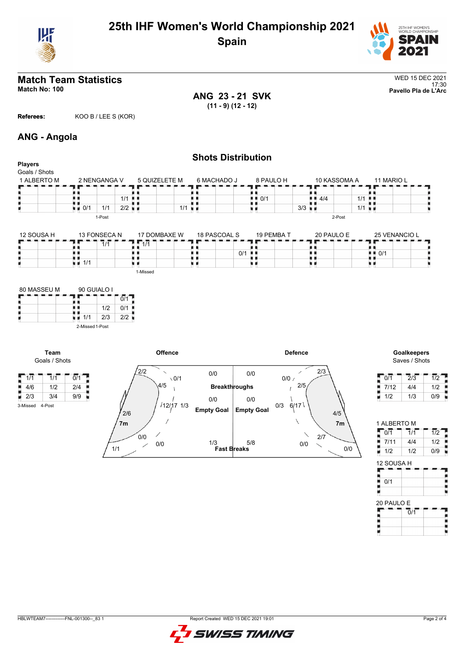



**ANG 23 - 21 SVK (11 - 9) (12 - 12)**

**Referees:** KOO B / LEE S (KOR)

# **ANG - Angola**

| <b>Players</b>                                                                                               |                                     |                             |                      |                                                                        |                                 | <b>Shots Distribution</b>                               |                                           |                      |                                                                                                       |
|--------------------------------------------------------------------------------------------------------------|-------------------------------------|-----------------------------|----------------------|------------------------------------------------------------------------|---------------------------------|---------------------------------------------------------|-------------------------------------------|----------------------|-------------------------------------------------------------------------------------------------------|
| Goals / Shots<br>1 ALBERTO M                                                                                 |                                     | 2 NENGANGA V                |                      | 5 QUIZELETE M                                                          | 6 MACHADO J                     |                                                         | 8 PAULO H                                 | 10 KASSOMA A         | 11 MARIO L                                                                                            |
|                                                                                                              |                                     |                             |                      |                                                                        |                                 | П١                                                      |                                           |                      |                                                                                                       |
|                                                                                                              | . .<br>. .                          |                             | $1/1$                |                                                                        |                                 | $\blacksquare$ $\blacksquare$ 0/1                       | $\blacksquare$ $\blacksquare$ 4/4         | 1/1                  |                                                                                                       |
|                                                                                                              | $\blacksquare$ 0/1                  | 1/1                         | $2/2$ $\blacksquare$ | $1/1$ $\blacksquare$                                                   |                                 | υи                                                      | 3/3                                       | $1/1$ $\blacksquare$ |                                                                                                       |
|                                                                                                              |                                     | 1-Post                      |                      |                                                                        |                                 |                                                         |                                           | 2-Post               |                                                                                                       |
| 12 SOUSA H                                                                                                   |                                     | 13 FONSECA N                |                      | 17 DOMBAXE W                                                           | 18 PASCOAL S                    |                                                         | 19 PEMBA T                                | 20 PAULO E           | 25 VENANCIO L                                                                                         |
|                                                                                                              |                                     | $\overline{1}/\overline{1}$ |                      | $\overline{1/1}$                                                       |                                 |                                                         |                                           |                      |                                                                                                       |
|                                                                                                              | ЦΗ                                  |                             |                      | 真真                                                                     | H H                             | $0/1$ $\blacksquare$                                    | ш                                         |                      | $\blacksquare$ $\blacksquare$ 0/1                                                                     |
|                                                                                                              | $\blacksquare$ $\blacksquare$ 1/1   |                             |                      | LЮ                                                                     | υи                              | 原 国                                                     | uк                                        |                      | ж.                                                                                                    |
|                                                                                                              |                                     |                             |                      | 1-Missed                                                               |                                 |                                                         |                                           |                      |                                                                                                       |
| Team                                                                                                         | 2-Missed 1-Post                     |                             |                      | Offence                                                                |                                 |                                                         | <b>Defence</b>                            |                      | Goalkeepers                                                                                           |
| Goals / Shots                                                                                                |                                     |                             |                      |                                                                        |                                 |                                                         |                                           |                      | Saves / Shots                                                                                         |
| $\sqrt{1/1}$<br>$\overline{1}/\overline{1}$<br>4/6<br>1/2<br>$\blacksquare$ 2/3<br>3/4<br>4-Post<br>3-Missed | $\overline{0/1}$<br>2/4<br>9/9<br>ш |                             | 2/6                  | 2/2<br>$\overline{\phantom{0}}$<br>$\sqrt{0/1}$<br>4/5<br>$/12/17$ 1/3 | 0/0<br>0/0<br><b>Empty Goal</b> | 0/0<br><b>Breakthroughs</b><br>0/0<br><b>Empty Goal</b> | 2/3<br>∕<br>$0/0$ /<br>2/5<br>6/17<br>0/3 | $4/5$                | $\overline{1/2}$<br>$\overline{0/1}$<br>$\frac{2}{3}$<br>7/12<br>4/4<br>1/2<br>1/2<br>0/9<br>1/3<br>н |
|                                                                                                              |                                     |                             | 7m<br>1/1            | 0/0<br>0/0                                                             | 1/3                             | 5/8<br><b>Fast Breaks</b>                               | ∖<br>2/7<br>0/0                           | 7m<br>0/0            | 1 ALBERTO M<br>$\overline{1/2}$<br>0/1<br>7/1<br>1/2<br>7/11<br>4/4<br>1/2<br>0/9<br>1/2<br>۳         |

12 SOUSA H

20 PAULO E

 $\overline{0}/1$ 

 $\frac{1}{2}$  0/1

I,

Ρ

I.

Е ţ



I<br>Sepa

į

F

ī. ĵ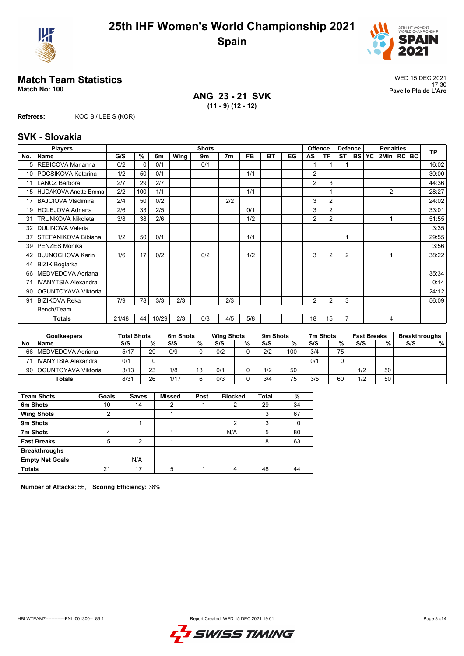



**ANG 23 - 21 SVK (11 - 9) (12 - 12)**

**Referees:** KOO B / LEE S (KOR)

## **SVK - Slovakia**

| <b>Players</b>  |                             | <b>Shots</b> |               |       |      |     |                |           |           | <b>Offence</b> | <b>Defence</b> |                | <b>Penalties</b> |           |           | <b>TP</b>      |  |  |       |
|-----------------|-----------------------------|--------------|---------------|-------|------|-----|----------------|-----------|-----------|----------------|----------------|----------------|------------------|-----------|-----------|----------------|--|--|-------|
| No.             | <b>Name</b>                 | G/S          | $\frac{9}{6}$ | 6m    | Wing | 9m  | 7 <sub>m</sub> | <b>FB</b> | <b>BT</b> | EG             | AS             | <b>TF</b>      | <b>ST</b>        | <b>BS</b> | <b>YC</b> | 2Min   RC   BC |  |  |       |
| 5               | REBICOVA Marianna           | 0/2          | $\mathbf{0}$  | 0/1   |      | 0/1 |                |           |           |                |                |                |                  |           |           |                |  |  | 16:02 |
| 10              | POCSIKOVA Katarina          | 1/2          | 50            | 0/1   |      |     |                | 1/1       |           |                | 2              |                |                  |           |           |                |  |  | 30:00 |
| 11              | <b>LANCZ Barbora</b>        | 2/7          | 29            | 2/7   |      |     |                |           |           |                | 2              | 3              |                  |           |           |                |  |  | 44:36 |
| 15              | <b>HUDAKOVA Anette Emma</b> | 2/2          | 100           | 1/1   |      |     |                | 1/1       |           |                |                |                |                  |           |           | $\overline{2}$ |  |  | 28:27 |
| 17              | <b>BAJCIOVA Vladimira</b>   | 2/4          | 50            | 0/2   |      |     | 2/2            |           |           |                | 3              | $\overline{2}$ |                  |           |           |                |  |  | 24:02 |
| 19 <sup>1</sup> | HOLEJOVA Adriana            | 2/6          | 33            | 2/5   |      |     |                | 0/1       |           |                | 3              | $\overline{2}$ |                  |           |           |                |  |  | 33:01 |
| 31              | <b>TRUNKOVA Nikoleta</b>    | 3/8          | 38            | 2/6   |      |     |                | 1/2       |           |                | 2              | $\overline{2}$ |                  |           |           |                |  |  | 51:55 |
| 32              | <b>DULINOVA Valeria</b>     |              |               |       |      |     |                |           |           |                |                |                |                  |           |           |                |  |  | 3:35  |
| 37              | STEFANIKOVA Bibiana         | 1/2          | 50            | 0/1   |      |     |                | 1/1       |           |                |                |                | 1                |           |           |                |  |  | 29:55 |
| 39              | <b>PENZES Monika</b>        |              |               |       |      |     |                |           |           |                |                |                |                  |           |           |                |  |  | 3:56  |
| 42              | <b>BUJNOCHOVA Karin</b>     | 1/6          | 17            | 0/2   |      | 0/2 |                | 1/2       |           |                | 3              | 2              | $\overline{2}$   |           |           |                |  |  | 38:22 |
| 44              | <b>BIZIK Boglarka</b>       |              |               |       |      |     |                |           |           |                |                |                |                  |           |           |                |  |  |       |
| 66              | MEDVEDOVA Adriana           |              |               |       |      |     |                |           |           |                |                |                |                  |           |           |                |  |  | 35:34 |
| 71              | <b>IVANYTSIA Alexandra</b>  |              |               |       |      |     |                |           |           |                |                |                |                  |           |           |                |  |  | 0:14  |
| 90              | OGUNTOYAVA Viktoria         |              |               |       |      |     |                |           |           |                |                |                |                  |           |           |                |  |  | 24:12 |
| 91              | <b>BIZIKOVA Reka</b>        | 7/9          | 78            | 3/3   | 2/3  |     | 2/3            |           |           |                | 2              | 2              | 3                |           |           |                |  |  | 56:09 |
|                 | Bench/Team                  |              |               |       |      |     |                |           |           |                |                |                |                  |           |           |                |  |  |       |
|                 | <b>Totals</b>               | 21/48        | 44            | 10/29 | 2/3  | 0/3 | 4/5            | 5/8       |           |                | 18             | 15             | 7                |           |           | 4              |  |  |       |

| <b>Goalkeepers</b> |                          | <b>Total Shots</b> |                 | 6m Shots |    |     | <b>Wing Shots</b> |     | 9m Shots |     | 7m Shots |     | <b>Fast Breaks</b> |     | <b>Breakthroughs</b> |  |
|--------------------|--------------------------|--------------------|-----------------|----------|----|-----|-------------------|-----|----------|-----|----------|-----|--------------------|-----|----------------------|--|
| No.                | <b>Name</b>              | S/S                | %               | S/S      | %  | S/S | %                 | S/S | %        | S/S | %        | S/S | %                  | S/S | %                    |  |
|                    | 66   MEDVEDOVA Adriana   | 5/17               | 29              | 0/9      |    | 0/2 |                   | 2/2 | 100      | 3/4 | 75       |     |                    |     |                      |  |
|                    | 71   IVANYTSIA Alexandra | 0/1                |                 |          |    |     |                   |     |          | 0/1 |          |     |                    |     |                      |  |
|                    | 90   OGUNTOYAVA Viktoria | 3/13               | 23              | 1/8      | 13 | 0/1 |                   | 1/2 | 50       |     |          | 1/2 | 50                 |     |                      |  |
|                    | <b>Totals</b>            | 8/31               | 26 <sub>1</sub> | 1/17     | R  | 0/3 |                   | 3/4 | 75       | 3/5 | 60       | 1/2 | 50                 |     |                      |  |

| <b>Team Shots</b>      | Goals | <b>Saves</b> | <b>Missed</b> | Post | <b>Blocked</b> | <b>Total</b> | %  |
|------------------------|-------|--------------|---------------|------|----------------|--------------|----|
| 6m Shots               | 10    | 14           |               |      |                | 29           | 34 |
| <b>Wing Shots</b>      | 2     |              |               |      |                | 3            | 67 |
| 9m Shots               |       |              |               |      | 2              | 3            |    |
| 7m Shots               | 4     |              |               |      | N/A            | 5            | 80 |
| <b>Fast Breaks</b>     | 5     | C            |               |      |                | 8            | 63 |
| <b>Breakthroughs</b>   |       |              |               |      |                |              |    |
| <b>Empty Net Goals</b> |       | N/A          |               |      |                |              |    |
| <b>Totals</b>          | 21    | 17           | 5             |      |                | 48           | 44 |

**Number of Attacks:** 56, **Scoring Efficiency:** 38%